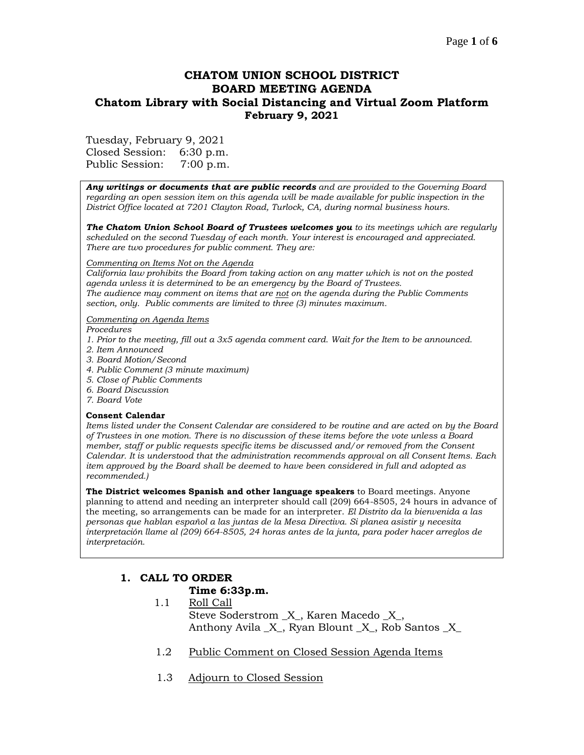## **CHATOM UNION SCHOOL DISTRICT BOARD MEETING AGENDA Chatom Library with Social Distancing and Virtual Zoom Platform February 9, 2021**

Tuesday, February 9, 2021

Closed Session: 6:30 p.m. Public Session: 7:00 p.m.

*Any writings or documents that are public records and are provided to the Governing Board regarding an open session item on this agenda will be made available for public inspection in the District Office located at 7201 Clayton Road, Turlock, CA, during normal business hours.*

*The Chatom Union School Board of Trustees welcomes you to its meetings which are regularly scheduled on the second Tuesday of each month. Your interest is encouraged and appreciated. There are two procedures for public comment. They are:*

#### *Commenting on Items Not on the Agenda*

*California law prohibits the Board from taking action on any matter which is not on the posted agenda unless it is determined to be an emergency by the Board of Trustees. The audience may comment on items that are not on the agenda during the Public Comments section, only. Public comments are limited to three (3) minutes maximum.*

#### *Commenting on Agenda Items*

*Procedures* 

- *1. Prior to the meeting, fill out a 3x5 agenda comment card. Wait for the Item to be announced.*
- *2. Item Announced*
- *3. Board Motion/Second*
- *4. Public Comment (3 minute maximum)*
- *5. Close of Public Comments*
- *6. Board Discussion*
- *7. Board Vote*

### **Consent Calendar**

*Items listed under the Consent Calendar are considered to be routine and are acted on by the Board of Trustees in one motion. There is no discussion of these items before the vote unless a Board member, staff or public requests specific items be discussed and/or removed from the Consent Calendar. It is understood that the administration recommends approval on all Consent Items. Each item approved by the Board shall be deemed to have been considered in full and adopted as recommended.)*

**The District welcomes Spanish and other language speakers** to Board meetings. Anyone planning to attend and needing an interpreter should call (209) 664-8505, 24 hours in advance of the meeting, so arrangements can be made for an interpreter. *El Distrito da la bienvenida a las personas que hablan español a las juntas de la Mesa Directiva. Si planea asistir y necesita interpretación llame al (209) 664-8505, 24 horas antes de la junta, para poder hacer arreglos de interpretación.*

## **1. CALL TO ORDER Time 6:33p.m.**

- 1.1 Roll Call Steve Soderstrom  $X$ , Karen Macedo  $X$ , Anthony Avila \_X\_, Ryan Blount \_X\_, Rob Santos \_X\_
- 1.2 Public Comment on Closed Session Agenda Items
- 1.3 Adjourn to Closed Session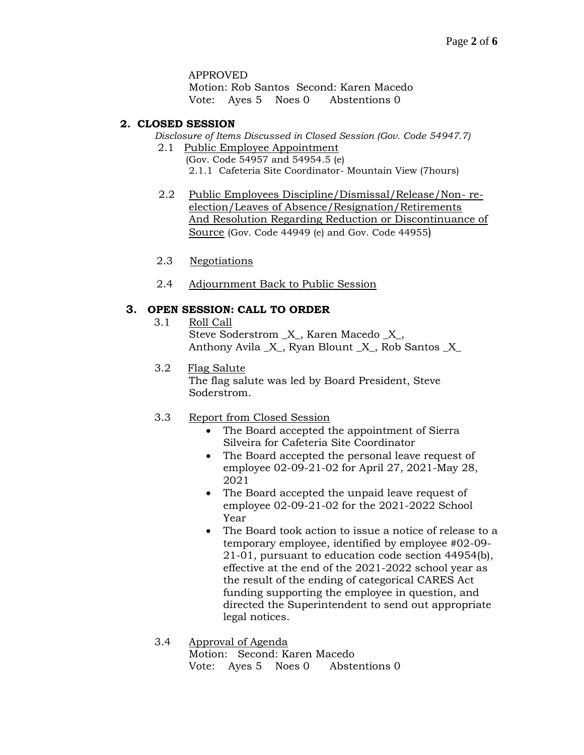### APPROVED

Motion: Rob Santos Second: Karen Macedo Vote: Ayes 5 Noes 0 Abstentions 0

### **2. CLOSED SESSION**

*Disclosure of Items Discussed in Closed Session (Gov. Code 54947.7)*

- 2.1 Public Employee Appointment (Gov. Code 54957 and 54954.5 (e) 2.1.1 Cafeteria Site Coordinator- Mountain View (7hours)
- 2.2 Public Employees Discipline/Dismissal/Release/Non- reelection/Leaves of Absence/Resignation/Retirements And Resolution Regarding Reduction or Discontinuance of Source (Gov. Code 44949 (e) and Gov. Code 44955)
- 2.3 Negotiations
- 2.4 Adjournment Back to Public Session

## **3. OPEN SESSION: CALL TO ORDER**

- 3.1 Roll Call Steve Soderstrom \_X\_, Karen Macedo \_X\_, Anthony Avila  $X$ , Ryan Blount  $X$ , Rob Santos  $X$
- 3.2 Flag Salute

The flag salute was led by Board President, Steve Soderstrom.

## 3.3 Report from Closed Session

- The Board accepted the appointment of Sierra Silveira for Cafeteria Site Coordinator
- The Board accepted the personal leave request of employee 02-09-21-02 for April 27, 2021-May 28, 2021
- The Board accepted the unpaid leave request of employee 02-09-21-02 for the 2021-2022 School Year
- The Board took action to issue a notice of release to a temporary employee, identified by employee #02-09- 21-01, pursuant to education code section 44954(b), effective at the end of the 2021-2022 school year as the result of the ending of categorical CARES Act funding supporting the employee in question, and directed the Superintendent to send out appropriate legal notices.
- 3.4 Approval of Agenda Motion: Second: Karen Macedo Vote: Ayes 5 Noes 0 Abstentions 0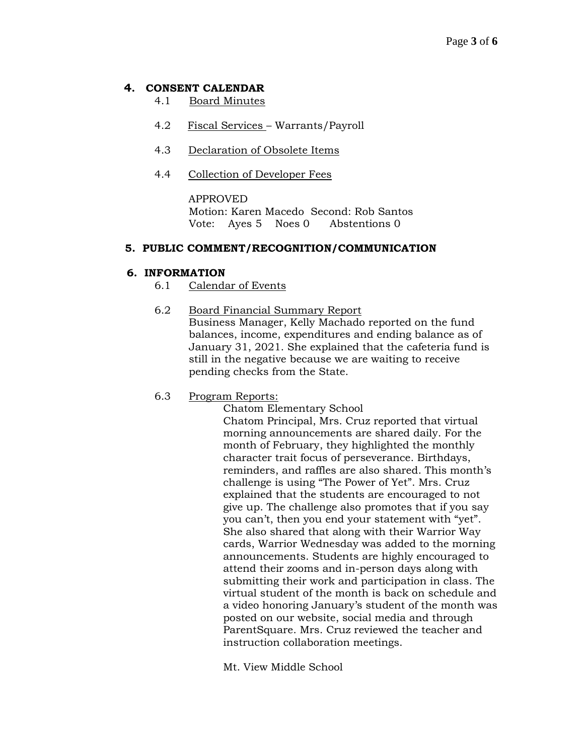## **4. CONSENT CALENDAR**

- 4.1 Board Minutes
- 4.2 Fiscal Services Warrants/Payroll
- 4.3 Declaration of Obsolete Items
- 4.4 Collection of Developer Fees

APPROVED Motion: Karen Macedo Second: Rob Santos Vote: Ayes 5 Noes 0 Abstentions 0

## **5. PUBLIC COMMENT/RECOGNITION/COMMUNICATION**

## **6. INFORMATION**

- 6.1 Calendar of Events
- 6.2 Board Financial Summary Report Business Manager, Kelly Machado reported on the fund balances, income, expenditures and ending balance as of January 31, 2021. She explained that the cafeteria fund is still in the negative because we are waiting to receive pending checks from the State.
- 6.3 Program Reports:

Chatom Elementary School

Chatom Principal, Mrs. Cruz reported that virtual morning announcements are shared daily. For the month of February, they highlighted the monthly character trait focus of perseverance. Birthdays, reminders, and raffles are also shared. This month's challenge is using "The Power of Yet". Mrs. Cruz explained that the students are encouraged to not give up. The challenge also promotes that if you say you can't, then you end your statement with "yet". She also shared that along with their Warrior Way cards, Warrior Wednesday was added to the morning announcements. Students are highly encouraged to attend their zooms and in-person days along with submitting their work and participation in class. The virtual student of the month is back on schedule and a video honoring January's student of the month was posted on our website, social media and through ParentSquare. Mrs. Cruz reviewed the teacher and instruction collaboration meetings.

Mt. View Middle School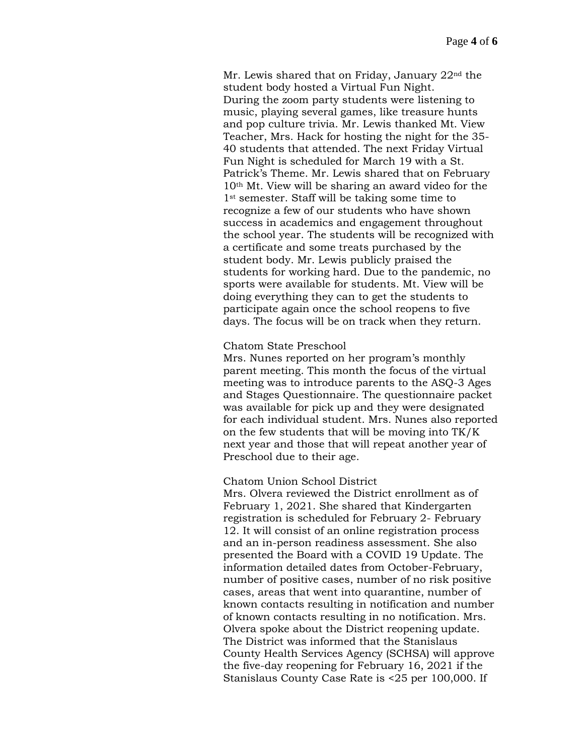Mr. Lewis shared that on Friday, January  $22<sup>nd</sup>$  the student body hosted a Virtual Fun Night. During the zoom party students were listening to music, playing several games, like treasure hunts and pop culture trivia. Mr. Lewis thanked Mt. View Teacher, Mrs. Hack for hosting the night for the 35- 40 students that attended. The next Friday Virtual Fun Night is scheduled for March 19 with a St. Patrick's Theme. Mr. Lewis shared that on February 10th Mt. View will be sharing an award video for the 1st semester. Staff will be taking some time to recognize a few of our students who have shown success in academics and engagement throughout the school year. The students will be recognized with a certificate and some treats purchased by the student body. Mr. Lewis publicly praised the students for working hard. Due to the pandemic, no sports were available for students. Mt. View will be doing everything they can to get the students to participate again once the school reopens to five days. The focus will be on track when they return.

#### Chatom State Preschool

Mrs. Nunes reported on her program's monthly parent meeting. This month the focus of the virtual meeting was to introduce parents to the ASQ-3 Ages and Stages Questionnaire. The questionnaire packet was available for pick up and they were designated for each individual student. Mrs. Nunes also reported on the few students that will be moving into TK/K next year and those that will repeat another year of Preschool due to their age.

#### Chatom Union School District

Mrs. Olvera reviewed the District enrollment as of February 1, 2021. She shared that Kindergarten registration is scheduled for February 2- February 12. It will consist of an online registration process and an in-person readiness assessment. She also presented the Board with a COVID 19 Update. The information detailed dates from October-February, number of positive cases, number of no risk positive cases, areas that went into quarantine, number of known contacts resulting in notification and number of known contacts resulting in no notification. Mrs. Olvera spoke about the District reopening update. The District was informed that the Stanislaus County Health Services Agency (SCHSA) will approve the five-day reopening for February 16, 2021 if the Stanislaus County Case Rate is <25 per 100,000. If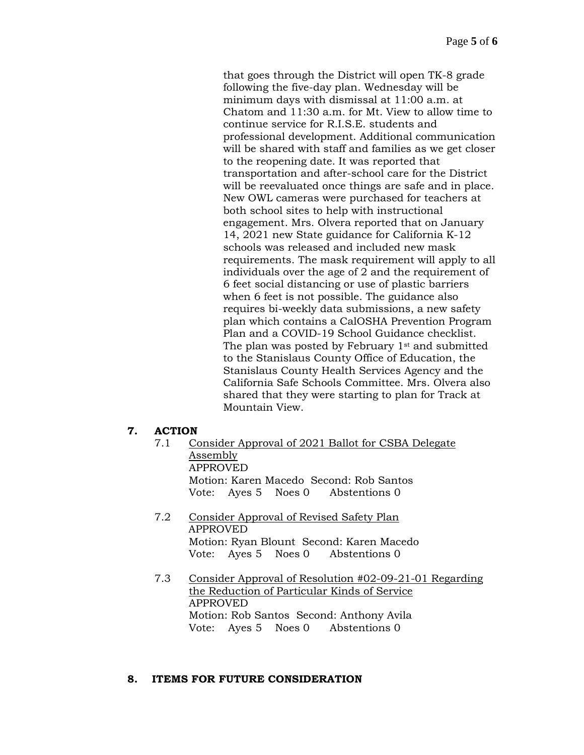that goes through the District will open TK-8 grade following the five-day plan. Wednesday will be minimum days with dismissal at 11:00 a.m. at Chatom and 11:30 a.m. for Mt. View to allow time to continue service for R.I.S.E. students and professional development. Additional communication will be shared with staff and families as we get closer to the reopening date. It was reported that transportation and after-school care for the District will be reevaluated once things are safe and in place. New OWL cameras were purchased for teachers at both school sites to help with instructional engagement. Mrs. Olvera reported that on January 14, 2021 new State guidance for California K-12 schools was released and included new mask requirements. The mask requirement will apply to all individuals over the age of 2 and the requirement of 6 feet social distancing or use of plastic barriers when 6 feet is not possible. The guidance also requires bi-weekly data submissions, a new safety plan which contains a CalOSHA Prevention Program Plan and a COVID-19 School Guidance checklist. The plan was posted by February 1st and submitted to the Stanislaus County Office of Education, the Stanislaus County Health Services Agency and the California Safe Schools Committee. Mrs. Olvera also shared that they were starting to plan for Track at Mountain View.

## **7. ACTION**

- 7.1 Consider Approval of 2021 Ballot for CSBA Delegate Assembly APPROVED Motion: Karen Macedo Second: Rob Santos Vote: Ayes 5 Noes 0 Abstentions 0
- 7.2 Consider Approval of Revised Safety Plan APPROVED Motion: Ryan Blount Second: Karen Macedo Vote: Ayes 5 Noes 0 Abstentions 0
- 7.3 Consider Approval of Resolution #02-09-21-01 Regarding the Reduction of Particular Kinds of Service APPROVED Motion: Rob Santos Second: Anthony Avila Vote: Ayes 5 Noes 0 Abstentions 0

## **8. ITEMS FOR FUTURE CONSIDERATION**